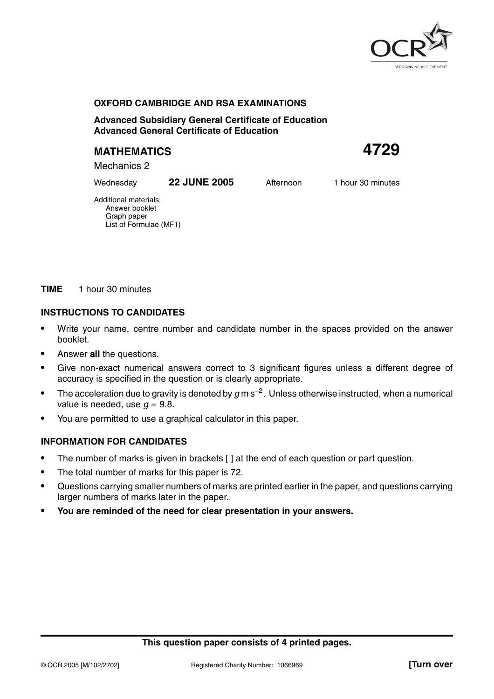

## **OXFORD CAMBRIDGE AND RSA EXAMINATIONS**

**Advanced Subsidiary General Certificate of Education Advanced General Certificate of Education**

# **MATHEMATICS 4729**

Mechanics 2

Wednesday **22 JUNE 2005** Afternoon 1 hour 30 minutes

Additional materials: Answer booklet Graph paper List of Formulae (MF1)

### **TIME** 1 hour 30 minutes

## **INSTRUCTIONS TO CANDIDATES**

- **•** Write your name, centre number and candidate number in the spaces provided on the answer booklet.
- **•** Answer **all** the questions.
- **•** Give non-exact numerical answers correct to 3 significant figures unless a different degree of accuracy is specified in the question or is clearly appropriate.
- **•** The acceleration due to gravity is denoted by g m s<sup>−</sup>2. Unless otherwise instructed, when a numerical value is needed, use  $q = 9.8$ .
- **•** You are permitted to use a graphical calculator in this paper.

## **INFORMATION FOR CANDIDATES**

- **•** The number of marks is given in brackets [ ] at the end of each question or part question.
- **•** The total number of marks for this paper is 72.
- **•** Questions carrying smaller numbers of marks are printed earlier in the paper, and questions carrying larger numbers of marks later in the paper.
- **• You are reminded of the need for clear presentation in your answers.**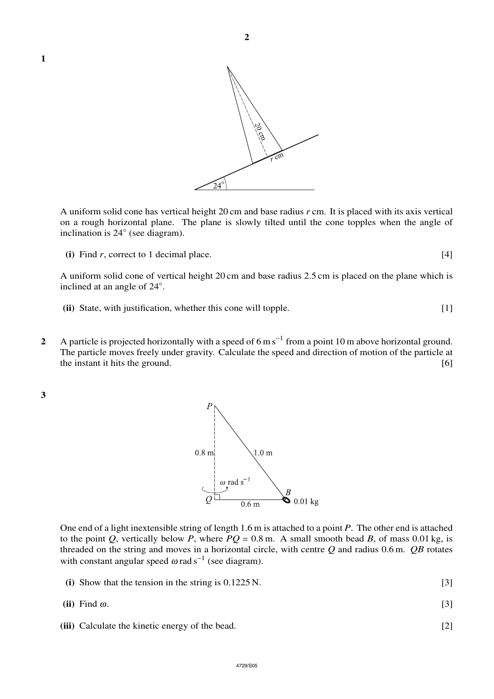

A uniform solid cone has vertical height 20 cm and base radius *r* cm. It is placed with its axis vertical on a rough horizontal plane. The plane is slowly tilted until the cone topples when the angle of inclination is 24◦ (see diagram).

**(i)** Find  $r$ , correct to 1 decimal place.  $[4]$ 

A uniform solid cone of vertical height 20 cm and base radius 2.5 cm is placed on the plane which is inclined at an angle of 24◦ .

- **(ii)** State, with justification, whether this cone will topple. [1]
- **2** A particle is projected horizontally with a speed of 6 m s<sup>−</sup><sup>1</sup> from a point 10 m above horizontal ground. The particle moves freely under gravity. Calculate the speed and direction of motion of the particle at the instant it hits the ground. [6] **[6] [6] [6] [6] [6] [6] [6] [6] [6] [6] [6] [6] [6] [6] [6] [6] [6] [6] [6] [6] [6] [6] [6] [6] [6] [6] [6] [6] [6] [6] [6]**

**3**



One end of a light inextensible string of length 1.6 m is attached to a point *P*. The other end is attached to the point *Q*, vertically below *P*, where  $PQ = 0.8$  m. A small smooth bead *B*, of mass 0.01 kg, is threaded on the string and moves in a horizontal circle, with centre *Q* and radius 0.6 m. *QB* rotates with constant angular speed  $\omega$  rad s<sup>-1</sup> (see diagram).

- **(i)** Show that the tension in the string is 0.1225 N. [3]
- **(ii)** Find <sup>ω</sup>. [3]
- **(iii)** Calculate the kinetic energy of the bead. [2]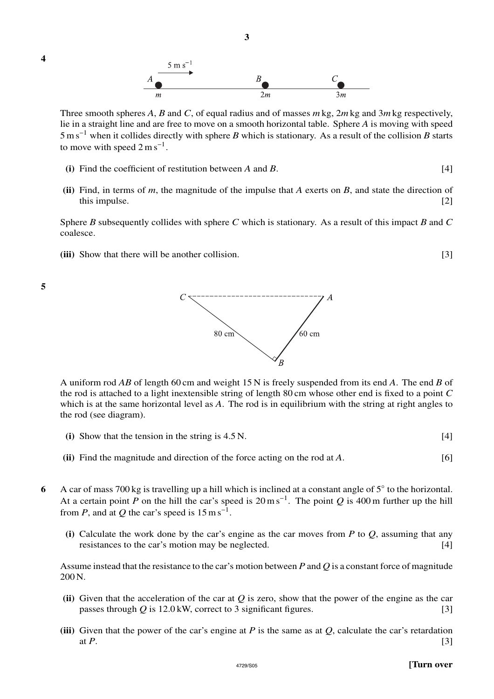





Three smooth spheres *A*, *B* and *C*, of equal radius and of masses *m* kg, 2*m* kg and 3*m*kg respectively, lie in a straight line and are free to move on a smooth horizontal table. Sphere *A* is moving with speed 5ms<sup>−</sup><sup>1</sup> when it collides directly with sphere *B* which is stationary. As a result of the collision *B* starts to move with speed  $2 \text{ m s}^{-1}$ .

- **(i)** Find the coefficient of restitution between *A* and *B*. [4]
- **(ii)** Find, in terms of *m*, the magnitude of the impulse that *A* exerts on *B*, and state the direction of this impulse. [2] this impulse.

Sphere *B* subsequently collides with sphere *C* which is stationary. As a result of this impact *B* and *C* coalesce.

**(iii)** Show that there will be another collision. [3]





A uniform rod *AB* of length 60 cm and weight 15 N is freely suspended from its end *A*. The end *B* of the rod is attached to a light inextensible string of length 80 cm whose other end is fixed to a point *C* which is at the same horizontal level as *A*. The rod is in equilibrium with the string at right angles to the rod (see diagram).

- **(i)** Show that the tension in the string is 4.5 N. [4]
- **(ii)** Find the magnitude and direction of the force acting on the rod at *A*. [6]
- **6** A car of mass 700 kg is travelling up a hill which is inclined at a constant angle of 5° to the horizontal. At a certain point *P* on the hill the car's speed is  $20 \text{ m s}^{-1}$ . The point *Q* is 400 m further up the hill from *P*, and at *Q* the car's speed is  $15 \text{ m s}^{-1}$ .
	- **(i)** Calculate the work done by the car's engine as the car moves from *P* to *Q*, assuming that any resistances to the car's motion may be neglected. [4]

Assume instead that the resistance to the car's motion between *P* and *Q* is a constant force of magnitude 200 N.

- **(ii)** Given that the acceleration of the car at *Q* is zero, show that the power of the engine as the car passes through *Q* is 12.0 kW, correct to 3 significant figures. [3]
- **(iii)** Given that the power of the car's engine at *P* is the same as at *Q*, calculate the car's retardation at  $P$ .  $[3]$